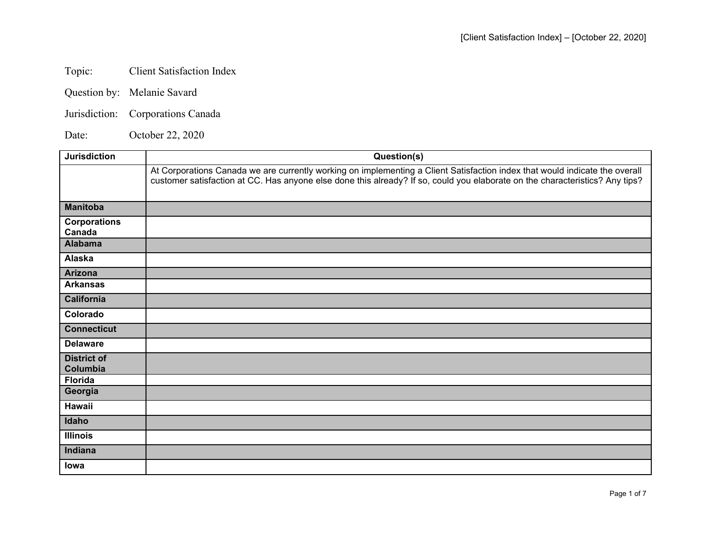## Topic: Client Satisfaction Index

- Question by: Melanie Savard
- Jurisdiction: Corporations Canada

Date: October 22, 2020

| <b>Jurisdiction</b>            | Question(s)                                                                                                                                                                                                                                                 |
|--------------------------------|-------------------------------------------------------------------------------------------------------------------------------------------------------------------------------------------------------------------------------------------------------------|
|                                | At Corporations Canada we are currently working on implementing a Client Satisfaction index that would indicate the overall<br>customer satisfaction at CC. Has anyone else done this already? If so, could you elaborate on the characteristics? Any tips? |
| <b>Manitoba</b>                |                                                                                                                                                                                                                                                             |
| <b>Corporations</b><br>Canada  |                                                                                                                                                                                                                                                             |
| <b>Alabama</b>                 |                                                                                                                                                                                                                                                             |
| Alaska                         |                                                                                                                                                                                                                                                             |
| <b>Arizona</b>                 |                                                                                                                                                                                                                                                             |
| <b>Arkansas</b>                |                                                                                                                                                                                                                                                             |
| <b>California</b>              |                                                                                                                                                                                                                                                             |
| Colorado                       |                                                                                                                                                                                                                                                             |
| <b>Connecticut</b>             |                                                                                                                                                                                                                                                             |
| <b>Delaware</b>                |                                                                                                                                                                                                                                                             |
| <b>District of</b><br>Columbia |                                                                                                                                                                                                                                                             |
| <b>Florida</b>                 |                                                                                                                                                                                                                                                             |
| Georgia                        |                                                                                                                                                                                                                                                             |
| Hawaii                         |                                                                                                                                                                                                                                                             |
| Idaho                          |                                                                                                                                                                                                                                                             |
| <b>Illinois</b>                |                                                                                                                                                                                                                                                             |
| Indiana                        |                                                                                                                                                                                                                                                             |
| lowa                           |                                                                                                                                                                                                                                                             |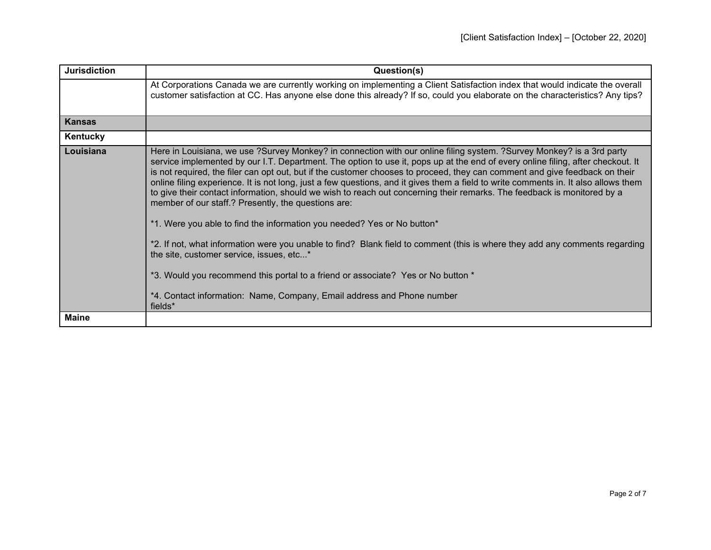| <b>Jurisdiction</b> | Question(s)                                                                                                                                                                                                                                                                                                                                                                                                                                                                                                                                                                                                                                                                                                                                                                                                                                                                                                                                                                                                                                                                                                                                     |
|---------------------|-------------------------------------------------------------------------------------------------------------------------------------------------------------------------------------------------------------------------------------------------------------------------------------------------------------------------------------------------------------------------------------------------------------------------------------------------------------------------------------------------------------------------------------------------------------------------------------------------------------------------------------------------------------------------------------------------------------------------------------------------------------------------------------------------------------------------------------------------------------------------------------------------------------------------------------------------------------------------------------------------------------------------------------------------------------------------------------------------------------------------------------------------|
|                     | At Corporations Canada we are currently working on implementing a Client Satisfaction index that would indicate the overall<br>customer satisfaction at CC. Has anyone else done this already? If so, could you elaborate on the characteristics? Any tips?                                                                                                                                                                                                                                                                                                                                                                                                                                                                                                                                                                                                                                                                                                                                                                                                                                                                                     |
| <b>Kansas</b>       |                                                                                                                                                                                                                                                                                                                                                                                                                                                                                                                                                                                                                                                                                                                                                                                                                                                                                                                                                                                                                                                                                                                                                 |
| Kentucky            |                                                                                                                                                                                                                                                                                                                                                                                                                                                                                                                                                                                                                                                                                                                                                                                                                                                                                                                                                                                                                                                                                                                                                 |
| Louisiana           | Here in Louisiana, we use ?Survey Monkey? in connection with our online filing system. ?Survey Monkey? is a 3rd party<br>service implemented by our I.T. Department. The option to use it, pops up at the end of every online filing, after checkout. It<br>is not required, the filer can opt out, but if the customer chooses to proceed, they can comment and give feedback on their<br>online filing experience. It is not long, just a few questions, and it gives them a field to write comments in. It also allows them<br>to give their contact information, should we wish to reach out concerning their remarks. The feedback is monitored by a<br>member of our staff.? Presently, the questions are:<br>*1. Were you able to find the information you needed? Yes or No button*<br>*2. If not, what information were you unable to find? Blank field to comment (this is where they add any comments regarding<br>the site, customer service, issues, etc*<br>*3. Would you recommend this portal to a friend or associate? Yes or No button *<br>*4. Contact information: Name, Company, Email address and Phone number<br>fields* |
| <b>Maine</b>        |                                                                                                                                                                                                                                                                                                                                                                                                                                                                                                                                                                                                                                                                                                                                                                                                                                                                                                                                                                                                                                                                                                                                                 |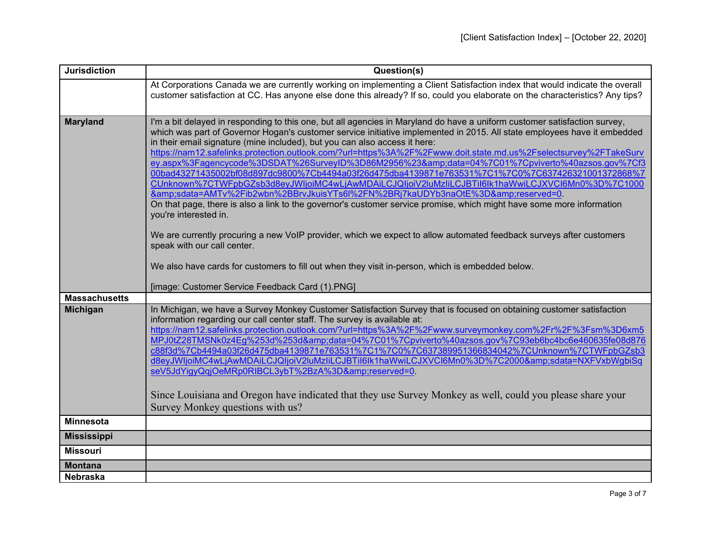| <b>Jurisdiction</b>  | Question(s)                                                                                                                                                                                                                                                                                                                                                                                                                                                                                                                                                                                                                                                                                                                                                                                                                                                                                                                                                                                                                                                                                                                                                                                                                                              |
|----------------------|----------------------------------------------------------------------------------------------------------------------------------------------------------------------------------------------------------------------------------------------------------------------------------------------------------------------------------------------------------------------------------------------------------------------------------------------------------------------------------------------------------------------------------------------------------------------------------------------------------------------------------------------------------------------------------------------------------------------------------------------------------------------------------------------------------------------------------------------------------------------------------------------------------------------------------------------------------------------------------------------------------------------------------------------------------------------------------------------------------------------------------------------------------------------------------------------------------------------------------------------------------|
|                      | At Corporations Canada we are currently working on implementing a Client Satisfaction index that would indicate the overall<br>customer satisfaction at CC. Has anyone else done this already? If so, could you elaborate on the characteristics? Any tips?                                                                                                                                                                                                                                                                                                                                                                                                                                                                                                                                                                                                                                                                                                                                                                                                                                                                                                                                                                                              |
| <b>Maryland</b>      | I'm a bit delayed in responding to this one, but all agencies in Maryland do have a uniform customer satisfaction survey,<br>which was part of Governor Hogan's customer service initiative implemented in 2015. All state employees have it embedded<br>in their email signature (mine included), but you can also access it here:<br>https://nam12.safelinks.protection.outlook.com/?url=https%3A%2F%2Fwww.doit.state.md.us%2Fselectsurvey%2FTakeSurv<br>ey.aspx%3Fagencycode%3DSDAT%26SurveyID%3D86M2956%23&data=04%7C01%7Cpviverto%40azsos.gov%7Cf3<br>00bad43271435002bf08d897dc9800%7Cb4494a03f26d475dba4139871e763531%7C1%7C0%7C637426321001372868%7<br>CUnknown%7CTWFpbGZsb3d8eyJWIjoiMC4wLjAwMDAiLCJQIjoiV2luMzliLCJBTil6lk1haWwiLCJXVCl6Mn0%3D%7C1000<br>&sdata=AMTv%2Fib2wbn%2BBrvJkuisYTs6l%2FN%2BRj7kaUDYb3naOtE%3D&reserved=0.<br>On that page, there is also a link to the governor's customer service promise, which might have some more information<br>you're interested in.<br>We are currently procuring a new VoIP provider, which we expect to allow automated feedback surveys after customers<br>speak with our call center.<br>We also have cards for customers to fill out when they visit in-person, which is embedded below. |
| <b>Massachusetts</b> | [image: Customer Service Feedback Card (1).PNG]                                                                                                                                                                                                                                                                                                                                                                                                                                                                                                                                                                                                                                                                                                                                                                                                                                                                                                                                                                                                                                                                                                                                                                                                          |
| <b>Michigan</b>      | In Michigan, we have a Survey Monkey Customer Satisfaction Survey that is focused on obtaining customer satisfaction<br>information regarding our call center staff. The survey is available at:<br>https://nam12.safelinks.protection.outlook.com/?url=https%3A%2F%2Fwww.surveymonkey.com%2Fr%2F%3Fsm%3D6xm5<br>MPJ0tZ28TMSNk0z4Eg%253d%253d&data=04%7C01%7Cpviverto%40azsos.gov%7C93eb6bc4bc6e460635fe08d876<br>c88f3d%7Cb4494a03f26d475dba4139871e763531%7C1%7C0%7C637389951366834042%7CUnknown%7CTWFpbGZsb3<br>d8eyJWIjoiMC4wLjAwMDAiLCJQIjoiV2luMzIiLCJBTil6lk1haWwiLCJXVCl6Mn0%3D%7C2000&sdata=NXFVxbWgbiSq<br>seV5JdYigyQqjOeMRp0RIBCL3ybT%2BzA%3D&reserved=0.<br>Since Louisiana and Oregon have indicated that they use Survey Monkey as well, could you please share your<br>Survey Monkey questions with us?                                                                                                                                                                                                                                                                                                                                                                                                                                  |
| <b>Minnesota</b>     |                                                                                                                                                                                                                                                                                                                                                                                                                                                                                                                                                                                                                                                                                                                                                                                                                                                                                                                                                                                                                                                                                                                                                                                                                                                          |
| <b>Mississippi</b>   |                                                                                                                                                                                                                                                                                                                                                                                                                                                                                                                                                                                                                                                                                                                                                                                                                                                                                                                                                                                                                                                                                                                                                                                                                                                          |
| <b>Missouri</b>      |                                                                                                                                                                                                                                                                                                                                                                                                                                                                                                                                                                                                                                                                                                                                                                                                                                                                                                                                                                                                                                                                                                                                                                                                                                                          |
| <b>Montana</b>       |                                                                                                                                                                                                                                                                                                                                                                                                                                                                                                                                                                                                                                                                                                                                                                                                                                                                                                                                                                                                                                                                                                                                                                                                                                                          |
| <b>Nebraska</b>      |                                                                                                                                                                                                                                                                                                                                                                                                                                                                                                                                                                                                                                                                                                                                                                                                                                                                                                                                                                                                                                                                                                                                                                                                                                                          |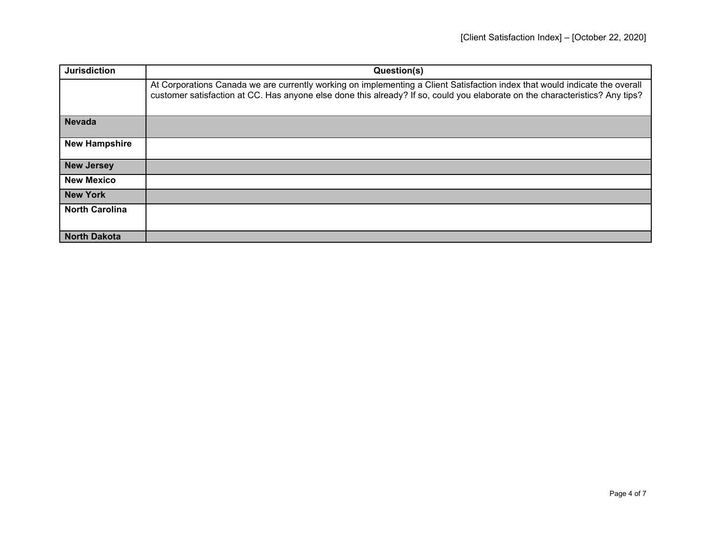| <b>Jurisdiction</b>   | Question(s)                                                                                                                                                                                                                                                 |
|-----------------------|-------------------------------------------------------------------------------------------------------------------------------------------------------------------------------------------------------------------------------------------------------------|
|                       | At Corporations Canada we are currently working on implementing a Client Satisfaction index that would indicate the overall<br>customer satisfaction at CC. Has anyone else done this already? If so, could you elaborate on the characteristics? Any tips? |
| <b>Nevada</b>         |                                                                                                                                                                                                                                                             |
| <b>New Hampshire</b>  |                                                                                                                                                                                                                                                             |
| <b>New Jersey</b>     |                                                                                                                                                                                                                                                             |
| <b>New Mexico</b>     |                                                                                                                                                                                                                                                             |
| <b>New York</b>       |                                                                                                                                                                                                                                                             |
| <b>North Carolina</b> |                                                                                                                                                                                                                                                             |
| <b>North Dakota</b>   |                                                                                                                                                                                                                                                             |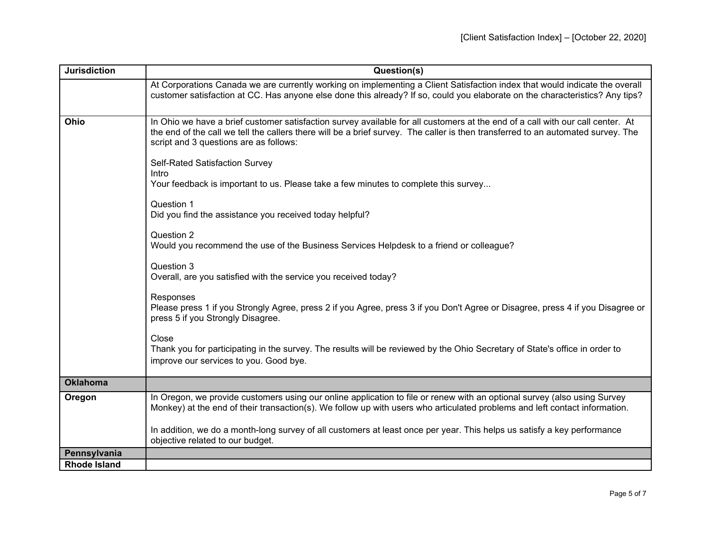| <b>Jurisdiction</b> | Question(s)                                                                                                                                                                                                                                                                                                  |
|---------------------|--------------------------------------------------------------------------------------------------------------------------------------------------------------------------------------------------------------------------------------------------------------------------------------------------------------|
|                     | At Corporations Canada we are currently working on implementing a Client Satisfaction index that would indicate the overall<br>customer satisfaction at CC. Has anyone else done this already? If so, could you elaborate on the characteristics? Any tips?                                                  |
| Ohio                | In Ohio we have a brief customer satisfaction survey available for all customers at the end of a call with our call center. At<br>the end of the call we tell the callers there will be a brief survey. The caller is then transferred to an automated survey. The<br>script and 3 questions are as follows: |
|                     | <b>Self-Rated Satisfaction Survey</b><br>Intro<br>Your feedback is important to us. Please take a few minutes to complete this survey                                                                                                                                                                        |
|                     | Question 1<br>Did you find the assistance you received today helpful?                                                                                                                                                                                                                                        |
|                     | Question 2<br>Would you recommend the use of the Business Services Helpdesk to a friend or colleague?                                                                                                                                                                                                        |
|                     | Question 3<br>Overall, are you satisfied with the service you received today?                                                                                                                                                                                                                                |
|                     | Responses<br>Please press 1 if you Strongly Agree, press 2 if you Agree, press 3 if you Don't Agree or Disagree, press 4 if you Disagree or<br>press 5 if you Strongly Disagree.                                                                                                                             |
|                     | Close<br>Thank you for participating in the survey. The results will be reviewed by the Ohio Secretary of State's office in order to<br>improve our services to you. Good bye.                                                                                                                               |
| <b>Oklahoma</b>     |                                                                                                                                                                                                                                                                                                              |
| Oregon              | In Oregon, we provide customers using our online application to file or renew with an optional survey (also using Survey<br>Monkey) at the end of their transaction(s). We follow up with users who articulated problems and left contact information.                                                       |
|                     | In addition, we do a month-long survey of all customers at least once per year. This helps us satisfy a key performance<br>objective related to our budget.                                                                                                                                                  |
| Pennsylvania        |                                                                                                                                                                                                                                                                                                              |
| <b>Rhode Island</b> |                                                                                                                                                                                                                                                                                                              |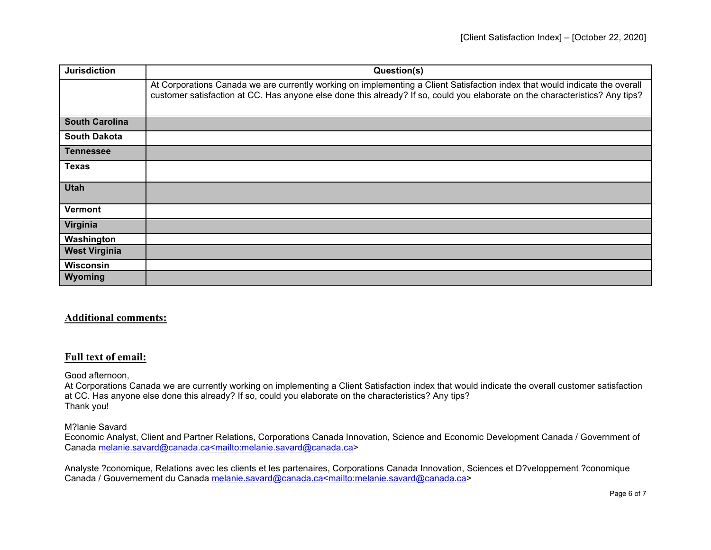| <b>Jurisdiction</b>   | Question(s)                                                                                                                                                                                                                                                 |
|-----------------------|-------------------------------------------------------------------------------------------------------------------------------------------------------------------------------------------------------------------------------------------------------------|
|                       | At Corporations Canada we are currently working on implementing a Client Satisfaction index that would indicate the overall<br>customer satisfaction at CC. Has anyone else done this already? If so, could you elaborate on the characteristics? Any tips? |
| <b>South Carolina</b> |                                                                                                                                                                                                                                                             |
| <b>South Dakota</b>   |                                                                                                                                                                                                                                                             |
| <b>Tennessee</b>      |                                                                                                                                                                                                                                                             |
| <b>Texas</b>          |                                                                                                                                                                                                                                                             |
| <b>Utah</b>           |                                                                                                                                                                                                                                                             |
| <b>Vermont</b>        |                                                                                                                                                                                                                                                             |
| Virginia              |                                                                                                                                                                                                                                                             |
| Washington            |                                                                                                                                                                                                                                                             |
| <b>West Virginia</b>  |                                                                                                                                                                                                                                                             |
| <b>Wisconsin</b>      |                                                                                                                                                                                                                                                             |
| Wyoming               |                                                                                                                                                                                                                                                             |

## **Additional comments:**

## **Full text of email:**

Good afternoon,

At Corporations Canada we are currently working on implementing a Client Satisfaction index that would indicate the overall customer satisfaction at CC. Has anyone else done this already? If so, could you elaborate on the characteristics? Any tips? Thank you!

M?lanie Savard

Economic Analyst, Client and Partner Relations, Corporations Canada Innovation, Science and Economic Development Canada / Government of Canada [melanie.savard@canada.ca<mailto:melanie.savard@canada.ca>](mailto:melanie.savard@canada.ca%3cmailto:melanie.savard@canada.ca)

Analyste ?conomique, Relations avec les clients et les partenaires, Corporations Canada Innovation, Sciences et D?veloppement ?conomique Canada / Gouvernement du Canada [melanie.savard@canada.ca<mailto:melanie.savard@canada.ca>](mailto:melanie.savard@canada.ca%3cmailto:melanie.savard@canada.ca)